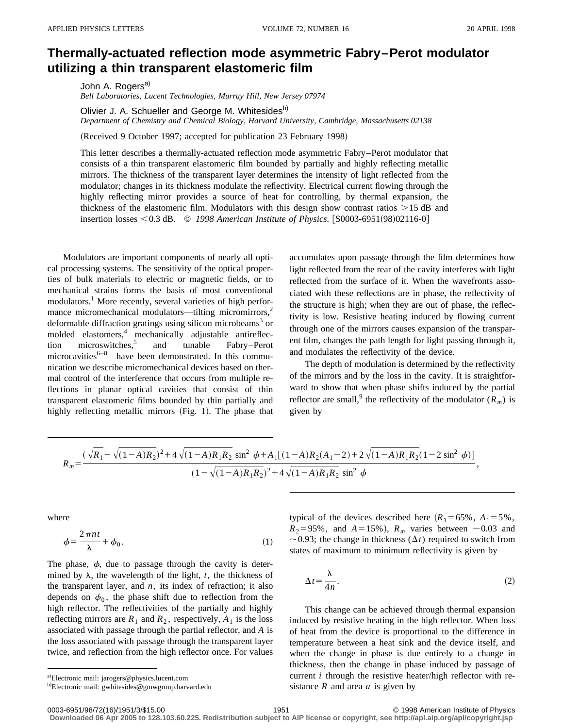## **Thermally-actuated reflection mode asymmetric Fabry–Perot modulator utilizing a thin transparent elastomeric film**

John A. Rogers<sup>a)</sup> *Bell Laboratories, Lucent Technologies, Murray Hill, New Jersey 07974*

Olivier J. A. Schueller and George M. Whitesides<sup>b)</sup> *Department of Chemistry and Chemical Biology, Harvard University, Cambridge, Massachusetts 02138*

(Received 9 October 1997; accepted for publication 23 February 1998)

This letter describes a thermally-actuated reflection mode asymmetric Fabry–Perot modulator that consists of a thin transparent elastomeric film bounded by partially and highly reflecting metallic mirrors. The thickness of the transparent layer determines the intensity of light reflected from the modulator; changes in its thickness modulate the reflectivity. Electrical current flowing through the highly reflecting mirror provides a source of heat for controlling, by thermal expansion, the thickness of the elastomeric film. Modulators with this design show contrast ratios  $>15$  dB and insertion losses <0.3 dB. © 1998 American Institute of Physics. [S0003-6951(98)02116-0]

Modulators are important components of nearly all optical processing systems. The sensitivity of the optical properties of bulk materials to electric or magnetic fields, or to mechanical strains forms the basis of most conventional modulators.<sup>1</sup> More recently, several varieties of high performance micromechanical modulators—tilting micromirrors,<sup>2</sup> deformable diffraction gratings using silicon microbeams<sup>3</sup> or molded elastomers,<sup>4</sup> mechanically adjustable antireflection microswitches,<sup>5</sup> and tunable Fabry–Perot microcavities<sup>6–8</sup>—have been demonstrated. In this communication we describe micromechanical devices based on thermal control of the interference that occurs from multiple reflections in planar optical cavities that consist of thin transparent elastomeric films bounded by thin partially and highly reflecting metallic mirrors  $(Fig. 1)$ . The phase that accumulates upon passage through the film determines how light reflected from the rear of the cavity interferes with light reflected from the surface of it. When the wavefronts associated with these reflections are in phase, the reflectivity of the structure is high; when they are out of phase, the reflectivity is low. Resistive heating induced by flowing current through one of the mirrors causes expansion of the transparent film, changes the path length for light passing through it, and modulates the reflectivity of the device.

The depth of modulation is determined by the reflectivity of the mirrors and by the loss in the cavity. It is straightforward to show that when phase shifts induced by the partial reflector are small,<sup>9</sup> the reflectivity of the modulator  $(R_m)$  is given by

$$
R_m = \frac{(\sqrt{R_1} - \sqrt{(1-A)R_2})^2 + 4\sqrt{(1-A)R_1R_2}\sin^2\phi + A_1[(1-A)R_2(A_1-2) + 2\sqrt{(1-A)R_1R_2}(1-2\sin^2\phi)]}{(1-\sqrt{(1-A)R_1R_2})^2 + 4\sqrt{(1-A)R_1R_2}\sin^2\phi},
$$

where

$$
\phi = \frac{2\pi nt}{\lambda} + \phi_0. \tag{1}
$$

The phase,  $\phi$ , due to passage through the cavity is determined by  $\lambda$ , the wavelength of the light,  $t$ , the thickness of the transparent layer, and  $n$ , its index of refraction; it also depends on  $\phi_0$ , the phase shift due to reflection from the high reflector. The reflectivities of the partially and highly reflecting mirrors are  $R_1$  and  $R_2$ , respectively,  $A_1$  is the loss associated with passage through the partial reflector, and *A* is the loss associated with passage through the transparent layer twice, and reflection from the high reflector once. For values

$$
\Delta t = \frac{\lambda}{4n}.\tag{2}
$$

This change can be achieved through thermal expansion induced by resistive heating in the high reflector. When loss of heat from the device is proportional to the difference in temperature between a heat sink and the device itself, and when the change in phase is due entirely to a change in thickness, then the change in phase induced by passage of current *i* through the resistive heater/high reflector with resistance *R* and area *a* is given by

**Downloaded 06 Apr 2005 to 128.103.60.225. Redistribution subject to AIP license or copyright, see http://apl.aip.org/apl/copyright.jsp**

typical of the devices described here  $(R_1 = 65\% , A_1 = 5\%$ ,  $R_2 = 95\%$ , and  $A = 15\%$ ),  $R_m$  varies between  $\sim 0.03$  and  $\sim$  0.93; the change in thickness ( $\Delta t$ ) required to switch from states of maximum to minimum reflectivity is given by

a)Electronic mail: jarogers@physics.lucent.com

<sup>&</sup>lt;sup>b)</sup>Electronic mail: gwhitesides@gmwgroup.harvard.edu

<sup>0003-6951/98/72(16)/1951/3/\$15.00 1990 1998</sup> American Institute of Physics 1951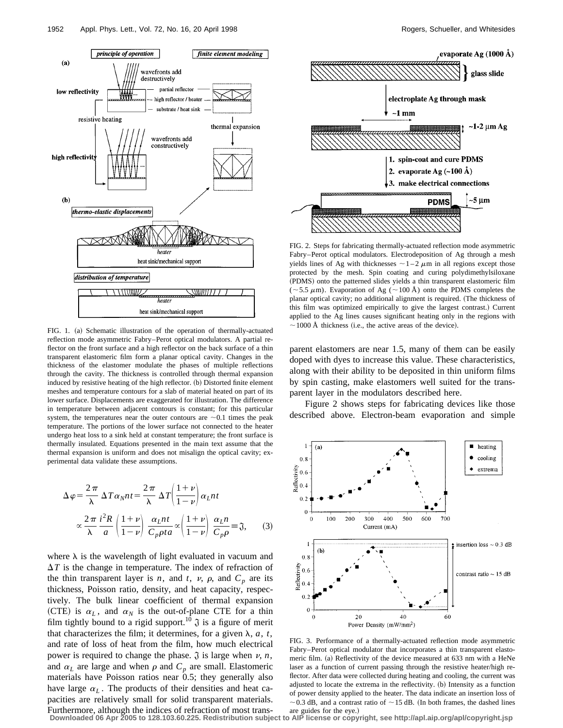

FIG. 1. (a) Schematic illustration of the operation of thermally-actuated reflection mode asymmetric Fabry–Perot optical modulators. A partial reflector on the front surface and a high reflector on the back surface of a thin transparent elastomeric film form a planar optical cavity. Changes in the thickness of the elastomer modulate the phases of multiple reflections through the cavity. The thickness is controlled through thermal expansion induced by resistive heating of the high reflector. (b) Distorted finite element meshes and temperature contours for a slab of material heated on part of its lower surface. Displacements are exaggerated for illustration. The difference in temperature between adjacent contours is constant; for this particular system, the temperatures near the outer contours are  $\sim 0.1$  times the peak temperature. The portions of the lower surface not connected to the heater undergo heat loss to a sink held at constant temperature; the front surface is thermally insulated. Equations presented in the main text assume that the thermal expansion is uniform and does not misalign the optical cavity; experimental data validate these assumptions.

$$
\Delta \varphi = \frac{2\pi}{\lambda} \Delta T \alpha_N nt = \frac{2\pi}{\lambda} \Delta T \left( \frac{1+v}{1-v} \right) \alpha_L nt
$$

$$
\propto \frac{2\pi}{\lambda} \frac{i^2 R}{a} \left( \frac{1+v}{1-v} \right) \frac{\alpha_L nt}{C_p \rho t a} \propto \left( \frac{1+v}{1-v} \right) \frac{\alpha_L n}{C_p \rho} = \mathfrak{J}, \qquad (3)
$$

where  $\lambda$  is the wavelength of light evaluated in vacuum and  $\Delta T$  is the change in temperature. The index of refraction of the thin transparent layer is *n*, and *t*, *v*,  $\rho$ , and  $C_p$  are its thickness, Poisson ratio, density, and heat capacity, respectively. The bulk linear coefficient of thermal expansion (CTE) is  $\alpha_L$ , and  $\alpha_N$  is the out-of-plane CTE for a thin film tightly bound to a rigid support.<sup>10</sup>  $\mathfrak{J}$  is a figure of merit that characterizes the film; it determines, for a given  $\lambda$ ,  $a$ ,  $t$ , and rate of loss of heat from the film, how much electrical power is required to change the phase.  $\mathfrak J$  is large when  $\nu$ , *n*, and  $\alpha_L$  are large and when  $\rho$  and  $C_p$  are small. Elastomeric materials have Poisson ratios near 0.5; they generally also have large  $\alpha_L$ . The products of their densities and heat capacities are relatively small for solid transparent materials.



FIG. 2. Steps for fabricating thermally-actuated reflection mode asymmetric Fabry–Perot optical modulators. Electrodeposition of Ag through a mesh yields lines of Ag with thicknesses  $\sim$  1–2  $\mu$ m in all regions except those protected by the mesh. Spin coating and curing polydimethylsiloxane (PDMS) onto the patterned slides yields a thin transparent elastomeric film ( $\sim$ 5.5  $\mu$ m). Evaporation of Ag ( $\sim$ 100 Å) onto the PDMS completes the planar optical cavity; no additional alignment is required. (The thickness of this film was optimized empirically to give the largest contrast.) Current applied to the Ag lines causes significant heating only in the regions with  $\sim$  1000 Å thickness (i.e., the active areas of the device).

parent elastomers are near 1.5, many of them can be easily doped with dyes to increase this value. These characteristics, along with their ability to be deposited in thin uniform films by spin casting, make elastomers well suited for the transparent layer in the modulators described here.

Figure 2 shows steps for fabricating devices like those described above. Electron-beam evaporation and simple



FIG. 3. Performance of a thermally-actuated reflection mode asymmetric Fabry–Perot optical modulator that incorporates a thin transparent elastomeric film. (a) Reflectivity of the device measured at 633 nm with a HeNe laser as a function of current passing through the resistive heater/high reflector. After data were collected during heating and cooling, the current was adjusted to locate the extrema in the reflectivity.  $(b)$  Intensity as a function of power density applied to the heater. The data indicate an insertion loss of  $\sim$  0.3 dB, and a contrast ratio of  $\sim$  15 dB. (In both frames, the dashed lines

Furthermore, although the indices of refraction of most trans-<br>Downloaded 06 Apr 2005 to 128.103.60.225. Redistribution subject to AIP license or copyright, see http://apl.aip.org/apl/copyright.jsp